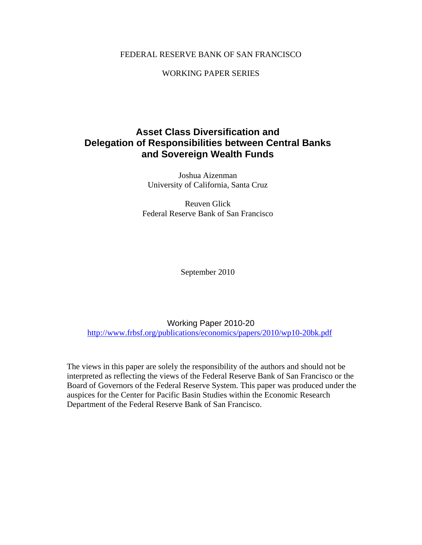## FEDERAL RESERVE BANK OF SAN FRANCISCO

WORKING PAPER SERIES

## **Asset Class Diversification and Delegation of Responsibilities between Central Banks and Sovereign Wealth Funds**

Joshua Aizenman University of California, Santa Cruz

Reuven Glick Federal Reserve Bank of San Francisco

September 2010

Working Paper 2010-20 http://www.frbsf.org/publications/economics/papers/2010/wp10-20bk.pdf

The views in this paper are solely the responsibility of the authors and should not be interpreted as reflecting the views of the Federal Reserve Bank of San Francisco or the Board of Governors of the Federal Reserve System. This paper was produced under the auspices for the Center for Pacific Basin Studies within the Economic Research Department of the Federal Reserve Bank of San Francisco.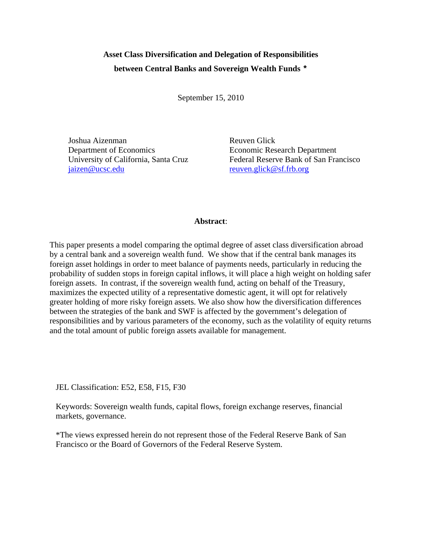# **Asset Class Diversification and Delegation of Responsibilities between Central Banks and Sovereign Wealth Funds \***

September 15, 2010

Joshua Aizenman Reuven Glick Department of Economics Economic Research Department jaizen@ucsc.edu reuven.glick@sf.frb.org

University of California, Santa Cruz Federal Reserve Bank of San Francisco

## **Abstract**:

This paper presents a model comparing the optimal degree of asset class diversification abroad by a central bank and a sovereign wealth fund. We show that if the central bank manages its foreign asset holdings in order to meet balance of payments needs, particularly in reducing the probability of sudden stops in foreign capital inflows, it will place a high weight on holding safer foreign assets. In contrast, if the sovereign wealth fund, acting on behalf of the Treasury, maximizes the expected utility of a representative domestic agent, it will opt for relatively greater holding of more risky foreign assets. We also show how the diversification differences between the strategies of the bank and SWF is affected by the government's delegation of responsibilities and by various parameters of the economy, such as the volatility of equity returns and the total amount of public foreign assets available for management.

JEL Classification: E52, E58, F15, F30

Keywords: Sovereign wealth funds, capital flows, foreign exchange reserves, financial markets, governance.

\*The views expressed herein do not represent those of the Federal Reserve Bank of San Francisco or the Board of Governors of the Federal Reserve System.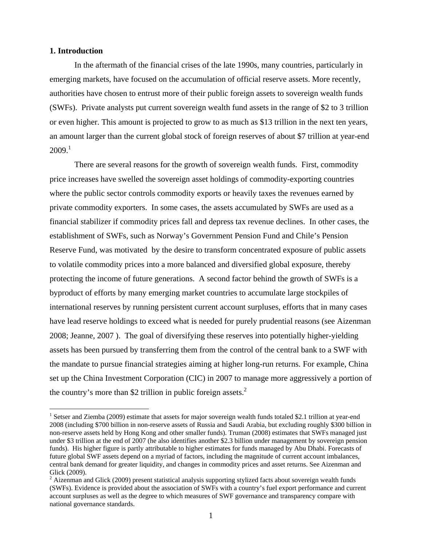#### **1. Introduction**

 $\overline{a}$ 

In the aftermath of the financial crises of the late 1990s, many countries, particularly in emerging markets, have focused on the accumulation of official reserve assets. More recently, authorities have chosen to entrust more of their public foreign assets to sovereign wealth funds (SWFs). Private analysts put current sovereign wealth fund assets in the range of \$2 to 3 trillion or even higher. This amount is projected to grow to as much as \$13 trillion in the next ten years, an amount larger than the current global stock of foreign reserves of about \$7 trillion at year-end  $2009.<sup>1</sup>$ 

There are several reasons for the growth of sovereign wealth funds. First, commodity price increases have swelled the sovereign asset holdings of commodity-exporting countries where the public sector controls commodity exports or heavily taxes the revenues earned by private commodity exporters. In some cases, the assets accumulated by SWFs are used as a financial stabilizer if commodity prices fall and depress tax revenue declines. In other cases, the establishment of SWFs, such as Norway's Government Pension Fund and Chile's Pension Reserve Fund, was motivated by the desire to transform concentrated exposure of public assets to volatile commodity prices into a more balanced and diversified global exposure, thereby protecting the income of future generations. A second factor behind the growth of SWFs is a byproduct of efforts by many emerging market countries to accumulate large stockpiles of international reserves by running persistent current account surpluses, efforts that in many cases have lead reserve holdings to exceed what is needed for purely prudential reasons (see Aizenman 2008; Jeanne, 2007 ). The goal of diversifying these reserves into potentially higher-yielding assets has been pursued by transferring them from the control of the central bank to a SWF with the mandate to pursue financial strategies aiming at higher long-run returns. For example, China set up the China Investment Corporation (CIC) in 2007 to manage more aggressively a portion of the country's more than \$2 trillion in public foreign assets. $<sup>2</sup>$ </sup>

<sup>&</sup>lt;sup>1</sup> Setser and Ziemba (2009) estimate that assets for major sovereign wealth funds totaled \$2.1 trillion at year-end 2008 (including \$700 billion in non-reserve assets of Russia and Saudi Arabia, but excluding roughly \$300 billion in non-reserve assets held by Hong Kong and other smaller funds). Truman (2008) estimates that SWFs managed just under \$3 trillion at the end of 2007 (he also identifies another \$2.3 billion under management by sovereign pension funds). His higher figure is partly attributable to higher estimates for funds managed by Abu Dhabi. Forecasts of future global SWF assets depend on a myriad of factors, including the magnitude of current account imbalances, central bank demand for greater liquidity, and changes in commodity prices and asset returns. See Aizenman and Glick (2009).

 $2$  Aizenman and Glick (2009) present statistical analysis supporting stylized facts about sovereign wealth funds (SWFs). Evidence is provided about the association of SWFs with a country's fuel export performance and current account surpluses as well as the degree to which measures of SWF governance and transparency compare with national governance standards.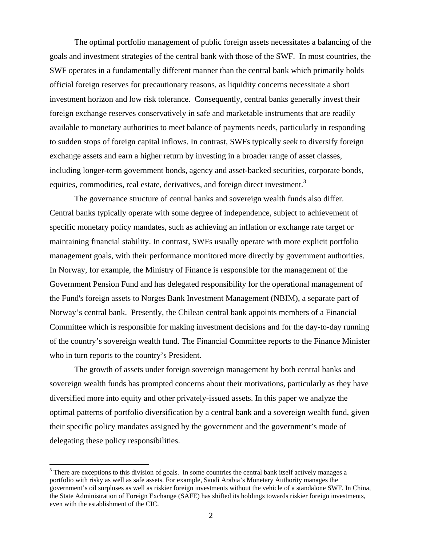The optimal portfolio management of public foreign assets necessitates a balancing of the goals and investment strategies of the central bank with those of the SWF. In most countries, the SWF operates in a fundamentally different manner than the central bank which primarily holds official foreign reserves for precautionary reasons, as liquidity concerns necessitate a short investment horizon and low risk tolerance. Consequently, central banks generally invest their foreign exchange reserves conservatively in safe and marketable instruments that are readily available to monetary authorities to meet balance of payments needs, particularly in responding to sudden stops of foreign capital inflows. In contrast, SWFs typically seek to diversify foreign exchange assets and earn a higher return by investing in a broader range of asset classes, including longer-term government bonds, agency and asset-backed securities, corporate bonds, equities, commodities, real estate, derivatives, and foreign direct investment.<sup>3</sup>

The governance structure of central banks and sovereign wealth funds also differ. Central banks typically operate with some degree of independence, subject to achievement of specific monetary policy mandates, such as achieving an inflation or exchange rate target or maintaining financial stability. In contrast, SWFs usually operate with more explicit portfolio management goals, with their performance monitored more directly by government authorities. In Norway, for example, the Ministry of Finance is responsible for the management of the Government Pension Fund and has delegated responsibility for the operational management of the Fund's foreign assets to Norges Bank Investment Management (NBIM), a separate part of Norway's central bank. Presently, the Chilean central bank appoints members of a Financial Committee which is responsible for making investment decisions and for the day-to-day running of the country's sovereign wealth fund. The Financial Committee reports to the Finance Minister who in turn reports to the country's President.

The growth of assets under foreign sovereign management by both central banks and sovereign wealth funds has prompted concerns about their motivations, particularly as they have diversified more into equity and other privately-issued assets. In this paper we analyze the optimal patterns of portfolio diversification by a central bank and a sovereign wealth fund, given their specific policy mandates assigned by the government and the government's mode of delegating these policy responsibilities.

 $\overline{a}$ 

 $3$  There are exceptions to this division of goals. In some countries the central bank itself actively manages a portfolio with risky as well as safe assets. For example, Saudi Arabia's Monetary Authority manages the government's oil surpluses as well as riskier foreign investments without the vehicle of a standalone SWF. In China, the State Administration of Foreign Exchange (SAFE) has shifted its holdings towards riskier foreign investments, even with the establishment of the CIC.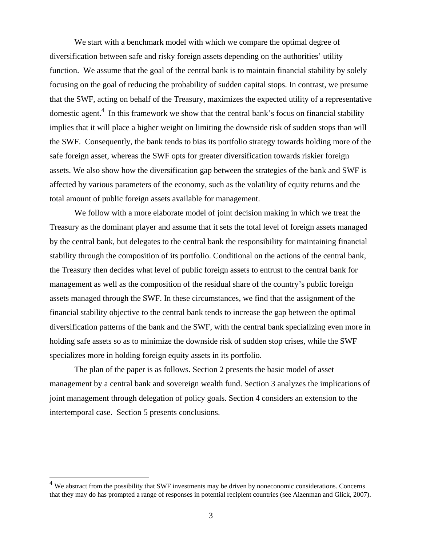We start with a benchmark model with which we compare the optimal degree of diversification between safe and risky foreign assets depending on the authorities' utility function. We assume that the goal of the central bank is to maintain financial stability by solely focusing on the goal of reducing the probability of sudden capital stops. In contrast, we presume that the SWF, acting on behalf of the Treasury, maximizes the expected utility of a representative domestic agent.<sup>4</sup> In this framework we show that the central bank's focus on financial stability implies that it will place a higher weight on limiting the downside risk of sudden stops than will the SWF. Consequently, the bank tends to bias its portfolio strategy towards holding more of the safe foreign asset, whereas the SWF opts for greater diversification towards riskier foreign assets. We also show how the diversification gap between the strategies of the bank and SWF is affected by various parameters of the economy, such as the volatility of equity returns and the total amount of public foreign assets available for management.

We follow with a more elaborate model of joint decision making in which we treat the Treasury as the dominant player and assume that it sets the total level of foreign assets managed by the central bank, but delegates to the central bank the responsibility for maintaining financial stability through the composition of its portfolio. Conditional on the actions of the central bank, the Treasury then decides what level of public foreign assets to entrust to the central bank for management as well as the composition of the residual share of the country's public foreign assets managed through the SWF. In these circumstances, we find that the assignment of the financial stability objective to the central bank tends to increase the gap between the optimal diversification patterns of the bank and the SWF, with the central bank specializing even more in holding safe assets so as to minimize the downside risk of sudden stop crises, while the SWF specializes more in holding foreign equity assets in its portfolio.

The plan of the paper is as follows. Section 2 presents the basic model of asset management by a central bank and sovereign wealth fund. Section 3 analyzes the implications of joint management through delegation of policy goals. Section 4 considers an extension to the intertemporal case. Section 5 presents conclusions.

 $\overline{a}$ 

 $4$  We abstract from the possibility that SWF investments may be driven by noneconomic considerations. Concerns that they may do has prompted a range of responses in potential recipient countries (see Aizenman and Glick, 2007).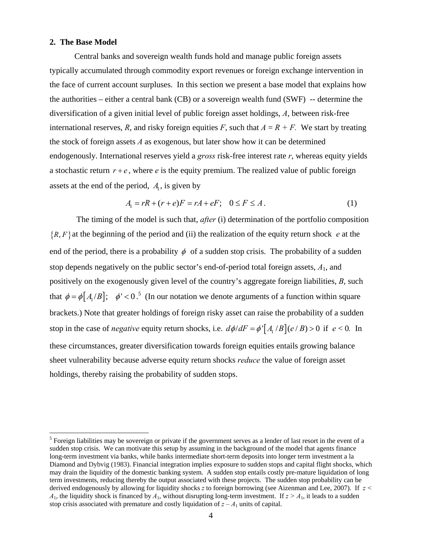## **2. The Base Model**

 $\overline{a}$ 

Central banks and sovereign wealth funds hold and manage public foreign assets typically accumulated through commodity export revenues or foreign exchange intervention in the face of current account surpluses. In this section we present a base model that explains how the authorities – either a central bank (CB) or a sovereign wealth fund (SWF) -- determine the diversification of a given initial level of public foreign asset holdings, *A*, between risk-free international reserves, *R*, and risky foreign equities *F*, such that  $A = R + F$ . We start by treating the stock of foreign assets *A* as exogenous, but later show how it can be determined endogenously. International reserves yield a *gross* risk-free interest rate *r*, whereas equity yields a stochastic return  $r + e$ , where  $e$  is the equity premium. The realized value of public foreign assets at the end of the period,  $A<sub>1</sub>$ , is given by

$$
A_1 = rR + (r + e)F = rA + eF; \quad 0 \le F \le A.
$$
 (1)

 The timing of the model is such that, *after* (i) determination of the portfolio composition  $\{R, F\}$  at the beginning of the period and (ii) the realization of the equity return shock *e* at the end of the period, there is a probability  $\phi$  of a sudden stop crisis. The probability of a sudden stop depends negatively on the public sector's end-of-period total foreign assets, *A*1, and positively on the exogenously given level of the country's aggregate foreign liabilities, *B*, such that  $\phi = \phi[A_1/B]$ ;  $\phi' < 0$ .<sup>5</sup> (In our notation we denote arguments of a function within square brackets.) Note that greater holdings of foreign risky asset can raise the probability of a sudden stop in the case of *negative* equity return shocks, i.e.  $d\phi/dF = \phi' [A / B] (e / B) > 0$  if  $e < 0$ . In these circumstances, greater diversification towards foreign equities entails growing balance sheet vulnerability because adverse equity return shocks *reduce* the value of foreign asset holdings, thereby raising the probability of sudden stops.

<sup>&</sup>lt;sup>5</sup> Foreign liabilities may be sovereign or private if the government serves as a lender of last resort in the event of a sudden stop crisis. We can motivate this setup by assuming in the background of the model that agents finance long-term investment via banks, while banks intermediate short-term deposits into longer term investment a la Diamond and Dybvig (1983). Financial integration implies exposure to sudden stops and capital flight shocks, which may drain the liquidity of the domestic banking system. A sudden stop entails costly pre-mature liquidation of long term investments, reducing thereby the output associated with these projects. The sudden stop probability can be derived endogenously by allowing for liquidity shocks *z* to foreign borrowing (see Aizenman and Lee, 2007). If *z <*   $A_1$ , the liquidity shock is financed by  $A_1$ , without disrupting long-term investment. If  $z > A_1$ , it leads to a sudden stop crisis associated with premature and costly liquidation of  $z - A_1$  units of capital.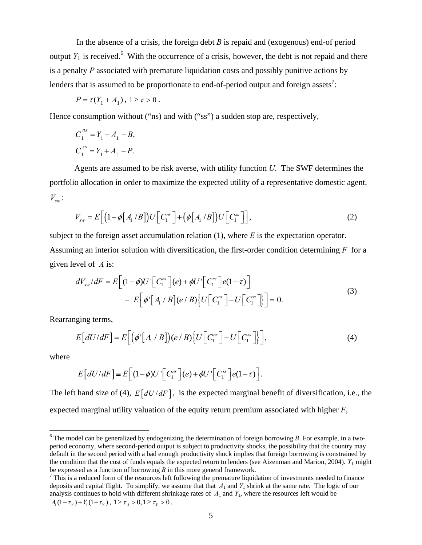In the absence of a crisis, the foreign debt *B* is repaid and (exogenous) end-of period output  $Y_1$  is received.<sup>6</sup> With the occurrence of a crisis, however, the debt is not repaid and there is a penalty *P* associated with premature liquidation costs and possibly punitive actions by lenders that is assumed to be proportionate to end-of-period output and foreign assets<sup>7</sup>:

$$
P = \tau (Y_1 + A_1), \ 1 \ge \tau > 0 \ .
$$

Hence consumption without ("ns) and with ("ss") a sudden stop are, respectively,

$$
C_1^{ns} = Y_1 + A_1 - B,
$$
  
\n
$$
C_1^{ss} = Y_1 + A_1 - P.
$$

Agents are assumed to be risk averse, with utility function *U*. The SWF determines the portfolio allocation in order to maximize the expected utility of a representative domestic agent,  $V_{\rm sw}$ :

$$
V_{\rm sw} = E\Big[\Big(1 - \phi\big[A_1 \, / B\big]\Big) U\Big[C_1^{\rm ns}\Big] + \Big(\phi\big[A_1 \, / B\big]\Big) U\Big[C_1^{\rm ss}\Big]\Big],\tag{2}
$$

subject to the foreign asset accumulation relation (1), where *E* is the expectation operator. Assuming an interior solution with diversification, the first-order condition determining *F* for a given level of *A* is:

$$
dV_{sw}/dF = E\left[(1-\phi)U'\left[C_1^{ns}\right](e) + \phi U'\left[C_1^{ns}\right]e(1-\tau)\right] - E\left[\phi'\left[A_1 \ / \ B\right](e/B)\left\{U\left[C_1^{ns}\right] - U\left[C_1^{ns}\right]\right\}\right] = 0.
$$
\n(3)

Rearranging terms,

$$
E\big[dU/dF\big] = E\bigg[\big(\phi'\big[A_1 \ / \ B\big]\big)(e \ / \ B)\big\{U\bigg[C_1^{ns}\bigg] - U\bigg[C_1^{ss}\bigg]\big\}\bigg],\tag{4}
$$

where

$$
E\big[dU/dF\big] \equiv E\big[(1-\phi)U'\big[C_1^{ns}\big](e) + \phi U'\big[C_1^{ss}\big](e) - \tau\big).
$$

The left hand size of (4),  $E[dU/dF]$ , is the expected marginal benefit of diversification, i.e., the expected marginal utility valuation of the equity return premium associated with higher *F*,

<sup>&</sup>lt;sup>6</sup> The model can be generalized by endogenizing the determination of foreign borrowing *B*. For example, in a twoperiod economy, where second-period output is subject to productivity shocks, the possibility that the country may default in the second period with a bad enough productivity shock implies that foreign borrowing is constrained by the condition that the cost of funds equals the expected return to lenders (see Aizenman and Marion, 2004). *Y*1 might be expressed as a function of borrowing  $B$  in this more general framework.

 $\frac{7}{1}$  This is a reduced form of the resources left following the premature liquidation of investments needed to finance deposits and capital flight. To simplify, we assume that that *A*<sup>1</sup> and *Y*1 shrink at the same rate. The logic of our analysis continues to hold with different shrinkage rates of  $A_1$  and  $Y_1$ , where the resources left would be  $A_1 (1 - \tau_A) + Y_1 (1 - \tau_Y), 1 \ge \tau_A > 0, 1 \ge \tau_Y > 0.$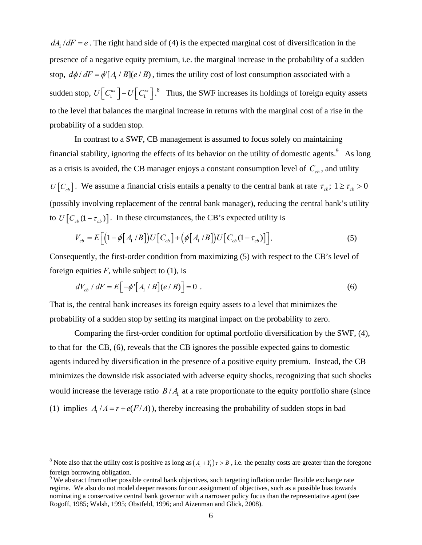$dA_i/dF = e$ . The right hand side of (4) is the expected marginal cost of diversification in the presence of a negative equity premium, i.e. the marginal increase in the probability of a sudden stop,  $d\phi/dF = \phi [A / B](e / B)$ , times the utility cost of lost consumption associated with a sudden stop,  $U[C_1^{ns}] - U[C_1^{ss}]$ .<sup>8</sup> Thus, the SWF increases its holdings of foreign equity assets to the level that balances the marginal increase in returns with the marginal cost of a rise in the probability of a sudden stop.

In contrast to a SWF, CB management is assumed to focus solely on maintaining financial stability, ignoring the effects of its behavior on the utility of domestic agents.  $9$  As long as a crisis is avoided, the CB manager enjoys a constant consumption level of  $C_{cb}$ , and utility  $U[C_{cb}]$ . We assume a financial crisis entails a penalty to the central bank at rate  $\tau_{cb}$ ;  $1 \ge \tau_{cb} > 0$ (possibly involving replacement of the central bank manager), reducing the central bank's utility to  $U \left[ C_{cb} (1 - \tau_{cb}) \right]$ . In these circumstances, the CB's expected utility is

$$
V_{cb} = E\Big[\Big(1-\phi\big[A_1/B\big]\Big)U\Big[C_{cb}\Big] + \Big(\phi\big[A_1/B\big]\Big)U\Big[C_{cb}(1-\tau_{cb})\Big]\Big].
$$
 (5)

Consequently, the first-order condition from maximizing (5) with respect to the CB's level of foreign equities  $F$ , while subject to  $(1)$ , is

$$
dV_{cb} / dF = E\Big[-\phi'\Big[A_1 / B\Big](e/B)\Big] = 0 \tag{6}
$$

That is, the central bank increases its foreign equity assets to a level that minimizes the probability of a sudden stop by setting its marginal impact on the probability to zero.

Comparing the first-order condition for optimal portfolio diversification by the SWF, (4), to that for the CB, (6), reveals that the CB ignores the possible expected gains to domestic agents induced by diversification in the presence of a positive equity premium. Instead, the CB minimizes the downside risk associated with adverse equity shocks, recognizing that such shocks would increase the leverage ratio  $B/A<sub>1</sub>$  at a rate proportionate to the equity portfolio share (since (1) implies  $A_i/A = r + e(F/A)$ , thereby increasing the probability of sudden stops in bad

 $\overline{a}$ 

<sup>&</sup>lt;sup>8</sup> Note also that the utility cost is positive as long as  $(A_1 + Y_1)\tau > B$ , i.e. the penalty costs are greater than the foregone foreign borrowing obligation.

<sup>&</sup>lt;sup>9</sup> We abstract from other possible central bank objectives, such targeting inflation under flexible exchange rate regime. We also do not model deeper reasons for our assignment of objectives, such as a possible bias towards nominating a conservative central bank governor with a narrower policy focus than the representative agent (see Rogoff, 1985; Walsh, 1995; Obstfeld, 1996; and Aizenman and Glick, 2008).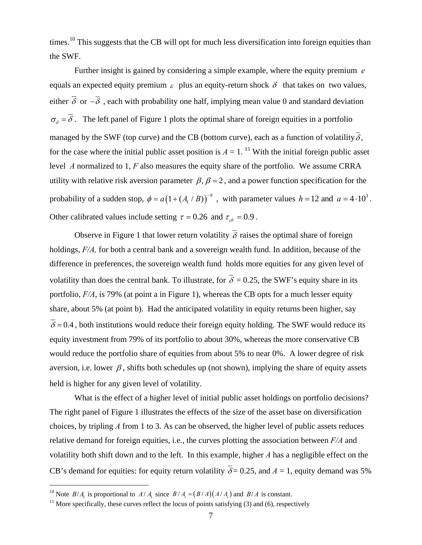times.<sup>10</sup> This suggests that the CB will opt for much less diversification into foreign equities than the SWF.

 Further insight is gained by considering a simple example, where the equity premium *e* equals an expected equity premium  $\epsilon$  plus an equity-return shock  $\delta$  that takes on two values, either  $\overline{\delta}$  or  $-\overline{\delta}$ , each with probability one half, implying mean value 0 and standard deviation  $\sigma_{\rm s} = \overline{\delta}$ . The left panel of Figure 1 plots the optimal share of foreign equities in a portfolio managed by the SWF (top curve) and the CB (bottom curve), each as a function of volatility  $\overline{\delta}$ , for the case where the initial public asset position is  $A = 1$ . <sup>11</sup> With the initial foreign public asset level *A* normalized to 1, *F* also measures the equity share of the portfolio. We assume CRRA utility with relative risk aversion parameter  $\beta$ ,  $\beta = 2$ , and a power function specification for the probability of a sudden stop,  $\phi = a(1 + (A_1 / B))^{-h}$ , with parameter values  $h = 12$  and  $a = 4 \cdot 10^3$ . Other calibrated values include setting  $\tau = 0.26$  and  $\tau_{cb} = 0.9$ .

Observe in Figure 1 that lower return volatility  $\overline{\delta}$  raises the optimal share of foreign holdings, *F/A,* for both a central bank and a sovereign wealth fund. In addition, because of the difference in preferences, the sovereign wealth fund holds more equities for any given level of volatility than does the central bank. To illustrate, for  $\overline{\delta} = 0.25$ , the SWF's equity share in its portfolio, *F/A*, is 79% (at point a in Figure 1), whereas the CB opts for a much lesser equity share, about 5% (at point b). Had the anticipated volatility in equity returns been higher, say  $\overline{\delta}$  = 0.4, both institutions would reduce their foreign equity holding. The SWF would reduce its equity investment from 79% of its portfolio to about 30%, whereas the more conservative CB would reduce the portfolio share of equities from about 5% to near 0%. A lower degree of risk aversion, i.e. lower  $\beta$ , shifts both schedules up (not shown), implying the share of equity assets held is higher for any given level of volatility.

What is the effect of a higher level of initial public asset holdings on portfolio decisions? The right panel of Figure 1 illustrates the effects of the size of the asset base on diversification choices, by tripling *A* from 1 to 3. As can be observed, the higher level of public assets reduces relative demand for foreign equities, i.e., the curves plotting the association between *F/A* and volatility both shift down and to the left. In this example, higher *A* has a negligible effect on the CB's demand for equities: for equity return volatility  $\overline{\delta}$  = 0.25, and *A* = 1, equity demand was 5%

 $\overline{a}$ 

<sup>&</sup>lt;sup>10</sup> Note  $B/A_1$  is proportional to  $A/A_1$  since  $B/A_1 = (B/A)(A/A_1)$  and  $B/A$  is constant.<br><sup>11</sup> More specifically, these curves reflect the locus of points satisfying (3) and (6), respectively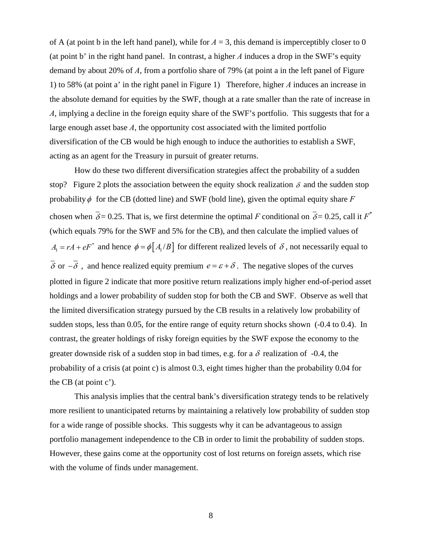of A (at point b in the left hand panel), while for  $A = 3$ , this demand is imperceptibly closer to 0 (at point b' in the right hand panel. In contrast, a higher *A* induces a drop in the SWF's equity demand by about 20% of *A*, from a portfolio share of 79% (at point a in the left panel of Figure 1) to 58% (at point a' in the right panel in Figure 1) Therefore, higher *A* induces an increase in the absolute demand for equities by the SWF, though at a rate smaller than the rate of increase in *A*, implying a decline in the foreign equity share of the SWF's portfolio. This suggests that for a large enough asset base *A*, the opportunity cost associated with the limited portfolio diversification of the CB would be high enough to induce the authorities to establish a SWF, acting as an agent for the Treasury in pursuit of greater returns.

How do these two different diversification strategies affect the probability of a sudden stop? Figure 2 plots the association between the equity shock realization  $\delta$  and the sudden stop probability  $\phi$  for the CB (dotted line) and SWF (bold line), given the optimal equity share *F* chosen when  $\overline{\delta}$  = 0.25. That is, we first determine the optimal *F* conditional on  $\overline{\delta}$  = 0.25, call it *F*<sup>\*</sup> (which equals 79% for the SWF and 5% for the CB), and then calculate the implied values of  $A_1 = rA + eF^*$  and hence  $\phi = \phi[A_1/B]$  for different realized levels of  $\delta$ , not necessarily equal to  $\overline{\delta}$  or  $-\overline{\delta}$ , and hence realized equity premium  $e = \varepsilon + \delta$ . The negative slopes of the curves plotted in figure 2 indicate that more positive return realizations imply higher end-of-period asset holdings and a lower probability of sudden stop for both the CB and SWF. Observe as well that the limited diversification strategy pursued by the CB results in a relatively low probability of sudden stops, less than 0.05, for the entire range of equity return shocks shown (-0.4 to 0.4). In contrast, the greater holdings of risky foreign equities by the SWF expose the economy to the greater downside risk of a sudden stop in bad times, e.g. for a  $\delta$  realization of -0.4, the probability of a crisis (at point c) is almost 0.3, eight times higher than the probability 0.04 for the CB (at point c').

This analysis implies that the central bank's diversification strategy tends to be relatively more resilient to unanticipated returns by maintaining a relatively low probability of sudden stop for a wide range of possible shocks. This suggests why it can be advantageous to assign portfolio management independence to the CB in order to limit the probability of sudden stops. However, these gains come at the opportunity cost of lost returns on foreign assets, which rise with the volume of finds under management.

8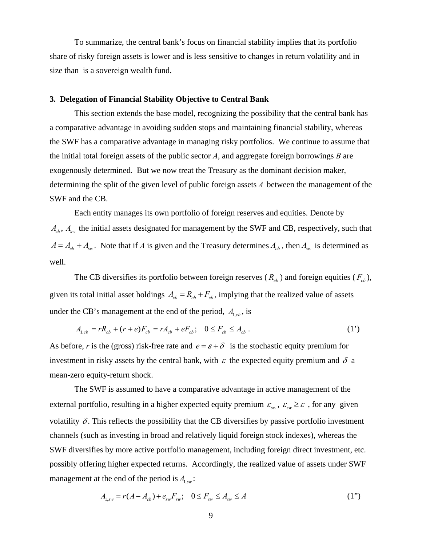To summarize, the central bank's focus on financial stability implies that its portfolio share of risky foreign assets is lower and is less sensitive to changes in return volatility and in size than is a sovereign wealth fund.

## **3. Delegation of Financial Stability Objective to Central Bank**

This section extends the base model, recognizing the possibility that the central bank has a comparative advantage in avoiding sudden stops and maintaining financial stability, whereas the SWF has a comparative advantage in managing risky portfolios. We continue to assume that the initial total foreign assets of the public sector *A*, and aggregate foreign borrowings *B* are exogenously determined. But we now treat the Treasury as the dominant decision maker, determining the split of the given level of public foreign assets *A* between the management of the SWF and the CB.

Each entity manages its own portfolio of foreign reserves and equities. Denote by  $A<sub>ch</sub>$ ,  $A<sub>cw</sub>$  the initial assets designated for management by the SWF and CB, respectively, such that  $A = A_{cb} + A_{sw}$ . Note that if *A* is given and the Treasury determines  $A_{cb}$ , then  $A_{sw}$  is determined as well.

The CB diversifies its portfolio between foreign reserves ( $R<sub>cb</sub>$ ) and foreign equities ( $F<sub>cb</sub>$ ), given its total initial asset holdings  $A_{cb} = R_{cb} + F_{cb}$ , implying that the realized value of assets under the CB's management at the end of the period,  $A_{1,cb}$ , is

$$
A_{1,cb} = rR_{cb} + (r+e)F_{cb} = rA_{cb} + eF_{cb}; \quad 0 \le F_{cb} \le A_{cb} \,. \tag{1'}
$$

As before, *r* is the (gross) risk-free rate and  $e = \varepsilon + \delta$  is the stochastic equity premium for investment in risky assets by the central bank, with  $\varepsilon$  the expected equity premium and  $\delta$  a mean-zero equity-return shock.

The SWF is assumed to have a comparative advantage in active management of the external portfolio, resulting in a higher expected equity premium  $\varepsilon_{sw}$ ,  $\varepsilon_{sw} \ge \varepsilon$ , for any given volatility  $\delta$ . This reflects the possibility that the CB diversifies by passive portfolio investment channels (such as investing in broad and relatively liquid foreign stock indexes), whereas the SWF diversifies by more active portfolio management, including foreign direct investment, etc. possibly offering higher expected returns. Accordingly, the realized value of assets under SWF management at the end of the period is  $A_{1,sw}$ :

$$
A_{1,sw} = r(A - A_{cb}) + e_{sw}F_{sw}; \quad 0 \le F_{sw} \le A_{sw} \le A
$$
 (1")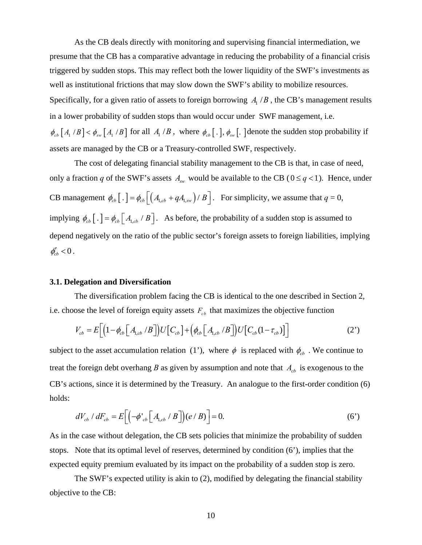As the CB deals directly with monitoring and supervising financial intermediation, we presume that the CB has a comparative advantage in reducing the probability of a financial crisis triggered by sudden stops. This may reflect both the lower liquidity of the SWF's investments as well as institutional frictions that may slow down the SWF's ability to mobilize resources. Specifically, for a given ratio of assets to foreign borrowing  $A / B$ , the CB's management results in a lower probability of sudden stops than would occur under SWF management, i.e.  $\phi_{cb}$   $[A_1 / B] < \phi_{sw}$   $[A_1 / B]$  for all  $A_1 / B$ , where  $\phi_{cb}$   $[. \cdot]$ ,  $\phi_{sw}$   $[. \cdot]$  denote the sudden stop probability if assets are managed by the CB or a Treasury-controlled SWF, respectively.

The cost of delegating financial stability management to the CB is that, in case of need, only a fraction *q* of the SWF's assets  $A_{sw}$  would be available to the CB ( $0 \leq q < 1$ ). Hence, under CB management  $\phi_{cb}$   $\left[ . \right] = \phi_{cb} \left[ \left( A_{1, cb} + q A_{1, sw} \right) / B \right]$ . For simplicity, we assume that  $q = 0$ , implying  $\phi_{cb}$   $\left[ . \right] = \phi_{cb} \left[ A_{1,cb} / B \right]$ . As before, the probability of a sudden stop is assumed to depend negatively on the ratio of the public sector's foreign assets to foreign liabilities, implying  $\phi'_{cb} < 0$ .

#### **3.1. Delegation and Diversification**

The diversification problem facing the CB is identical to the one described in Section 2, i.e. choose the level of foreign equity assets  $F_{cb}$  that maximizes the objective function

$$
V_{cb} = E\Big[\Big(1 - \phi_{cb}\Big[A_{1,cb}/B\Big]\Big)U\Big[C_{cb}\Big] + \Big(\phi_{cb}\Big[A_{1,cb}/B\Big]\Big)U\Big[C_{cb}(1 - \tau_{cb})\Big]\Big]
$$
(2')

subject to the asset accumulation relation (1'), where  $\phi$  is replaced with  $\phi_{cb}$ . We continue to treat the foreign debt overhang *B* as given by assumption and note that  $A<sub>cb</sub>$  is exogenous to the CB's actions, since it is determined by the Treasury. An analogue to the first-order condition (6) holds:

$$
dV_{cb} / dF_{cb} = E\Big[\Big(-\phi'_{cb}\Big[A_{1,cb} / B\Big]\Big](e/B)\Big] = 0.
$$
 (6')

As in the case without delegation, the CB sets policies that minimize the probability of sudden stops. Note that its optimal level of reserves, determined by condition (6'), implies that the expected equity premium evaluated by its impact on the probability of a sudden stop is zero.

The SWF's expected utility is akin to (2), modified by delegating the financial stability objective to the CB: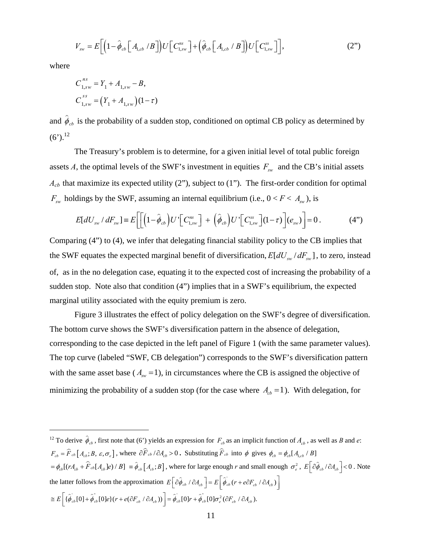$$
V_{\rm sw} = E\bigg[\Big(1-\hat{\phi}_{cb}\Big[A_{1,cb}/B\Big]\Big)U\Big[C_{1,\rm sw}^{\rm ns}\Big]+\Big(\hat{\phi}_{cb}\Big[A_{1,cb}/B\Big]\Big)U\Big[C_{1,\rm sw}^{\rm ss}\Big]\bigg],\tag{2"}
$$

where

 $\overline{a}$ 

$$
C_{1,sw}^{ns} = Y_1 + A_{1,sw} - B,
$$
  
\n
$$
C_{1,sw}^{ss} = (Y_1 + A_{1,sw})(1 - \tau)
$$

and  $\hat{\phi}_{cb}$  is the probability of a sudden stop, conditioned on optimal CB policy as determined by  $(6')$ <sup>12</sup>

The Treasury's problem is to determine, for a given initial level of total public foreign assets *A*, the optimal levels of the SWF's investment in equities  $F_{sw}$  and the CB's initial assets  $A_{cb}$  that maximize its expected utility (2"), subject to (1"). The first-order condition for optimal  $F_{sw}$  holdings by the SWF, assuming an internal equilibrium (i.e.,  $0 < F < A_{sw}$ ), is

$$
E[dU_{sw} / dF_{sw}] \equiv E\bigg[\bigg[\bigg(1-\hat{\phi}_{cb}\bigg)U'\bigg[C_{1,sw}^{ns}\bigg] + \bigg(\hat{\phi}_{cb}\bigg)U'\bigg[C_{1,sw}^{ss}\bigg](1-\tau)\bigg](e_{sw})\bigg] = 0.
$$
 (4")

Comparing (4") to (4), we infer that delegating financial stability policy to the CB implies that the SWF equates the expected marginal benefit of diversification,  $E [ dU_{\text{sw}} / dF_{\text{sw}} ]$ , to zero, instead of, as in the no delegation case, equating it to the expected cost of increasing the probability of a sudden stop. Note also that condition (4") implies that in a SWF's equilibrium, the expected marginal utility associated with the equity premium is zero.

Figure 3 illustrates the effect of policy delegation on the SWF's degree of diversification. The bottom curve shows the SWF's diversification pattern in the absence of delegation, corresponding to the case depicted in the left panel of Figure 1 (with the same parameter values). The top curve (labeled "SWF, CB delegation") corresponds to the SWF's diversification pattern with the same asset base ( $A<sub>sw</sub> = 1$ ), in circumstances where the CB is assigned the objective of minimizing the probability of a sudden stop (for the case where  $A<sub>cb</sub> = 1$ ). With delegation, for

<sup>12</sup> To derive  $\hat{\phi}_c$ , first note that (6') yields an expression for  $F_{cb}$  as an implicit function of  $A_{cb}$ , as well as *B* and *e*:  $F_{cb} = \hat{F}_{cb} \left[A_{cb}; B, \varepsilon, \sigma_e\right]$ , where  $\partial \hat{F}_{cb} / \partial A_{cb} > 0$ . Substituting  $\hat{F}_{cb}$  into  $\phi$  gives  $\phi_{cb} = \phi_{cb} [A_{1,cb} / B]$  $= \phi_{cb}[(rA_{cb} + \hat{F}_{cb}[A_{cb}]e) / B] = \hat{\phi}_{cb}[A_{cb};B]$ , where for large enough *r* and small enough  $\sigma_e^2$ ,  $E\left[\partial \hat{\phi}_{cb}/\partial A_{cb}\right] < 0$ . Note the latter follows from the approximation  $E\left[\partial \hat{\phi}_{cb} / \partial A_{cb}\right] = E\left[\hat{\phi}_{cb} (r + e \partial F_{cb} / \partial A_{cb})\right]$  $\cong E\bigg[\{\hat{\phi}_{cb}[0]+\hat{\phi}_{cb}^{''}[0]e\}(r+e(\partial F_{cb}^{'}\wedge\partial A_{cb}^{'}))\bigg]=\hat{\phi}_{cb}^{'}[0]r+\hat{\phi}_{cb}^{''}[0]\sigma_{e}^{2}(\partial F_{cb}^{'}\wedge\partial A_{cb}^{'}).$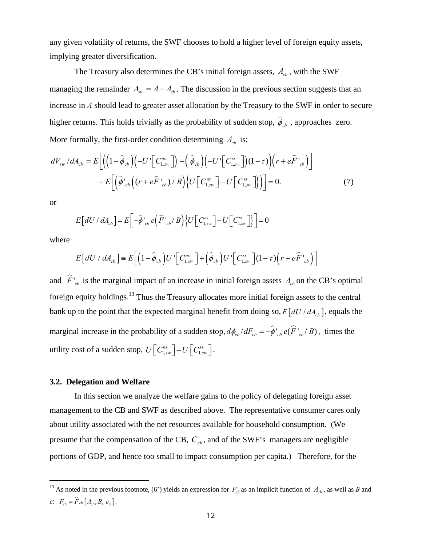any given volatility of returns, the SWF chooses to hold a higher level of foreign equity assets, implying greater diversification.

The Treasury also determines the CB's initial foreign assets,  $A_{cb}$ , with the SWF managing the remainder  $A_{sw} = A - A_{cb}$ . The discussion in the previous section suggests that an increase in *A* should lead to greater asset allocation by the Treasury to the SWF in order to secure higher returns. This holds trivially as the probability of sudden stop,  $\hat{\phi}_{cb}$ , approaches zero. More formally, the first-order condition determining  $A_{cb}$  is:

$$
dV_{sw}/dA_{cb} = E\bigg[\Big(\bigg(1-\hat{\phi}_{cb}\bigg)\bigg(-U\bigg[\bigg(C_{1,sw}^{ns}\bigg]\bigg) + \bigg(\hat{\phi}_{cb}\bigg)\bigg(-U\bigg[\bigg(C_{1,sw}^{ss}\bigg]\bigg)(1-\tau)\bigg)\Big(r+e\hat{F'}_{cb}\Bigg)\bigg] -E\bigg[\bigg(\hat{\phi'}_{cb}\bigg((r+e\hat{F'}_{cb})/B\bigg)\bigg\{U\bigg[\bigg(C_{1,sw}^{ns}\bigg] - U\bigg[\bigg(C_{1,sw}^{ss}\bigg]\bigg\}\bigg)\bigg] = 0.
$$
\n(7)

or

$$
E\left[dU/dA_{cb}\right] = E\left[-\hat{\phi}_{cb}^{\dagger} e\left(\hat{F}_{cb}^{\dagger}/B\right)\left\{U\left[C_{1,sw}^{ns}\right] - U\left[C_{1,sw}^{ss}\right]\right\}\right] = 0
$$

where

1

$$
E\left[dU/dA_{cb}\right] = E\left[\left(1-\hat{\phi}_{cb}\right)U'\left[C_{1,sw}^{ns}\right] + \left(\hat{\phi}_{cb}\right)U'\left[C_{1,sw}^{ss}\right]\left(1-\tau\right)\left(r + e\hat{F}\left.\right|_{cb}\right)\right]
$$

and  $\hat{F}$ <sup>'</sup><sub>ch</sub> is the marginal impact of an increase in initial foreign assets  $A_{cb}$  on the CB's optimal foreign equity holdings.13 Thus the Treasury allocates more initial foreign assets to the central bank up to the point that the expected marginal benefit from doing so,  $E \left[ dU / dA_{cb} \right]$ , equals the marginal increase in the probability of a sudden stop,  $d\phi_{cb}/dF_{cb} = -\hat{\phi}_{cb}^{\dagger}e(\hat{F}_{cb}^{\dagger}/B)$ , times the utility cost of a sudden stop,  $U\left[C_{1,\text{sw}}^{ns}\right]-U\left[C_{1,\text{sw}}^{ss}\right]$ .

#### **3.2. Delegation and Welfare**

 In this section we analyze the welfare gains to the policy of delegating foreign asset management to the CB and SWF as described above. The representative consumer cares only about utility associated with the net resources available for household consumption. (We presume that the compensation of the CB,  $C_{cb}$ , and of the SWF's managers are negligible portions of GDP, and hence too small to impact consumption per capita.) Therefore, for the

<sup>&</sup>lt;sup>13</sup> As noted in the previous footnote, (6') yields an expression for  $F<sub>cb</sub>$  as an implicit function of  $A<sub>cb</sub>$ , as well as *B* and *e*:  $F_{cb} = \hat{F}_{cb} [A_{cb}; B, e_{\delta}].$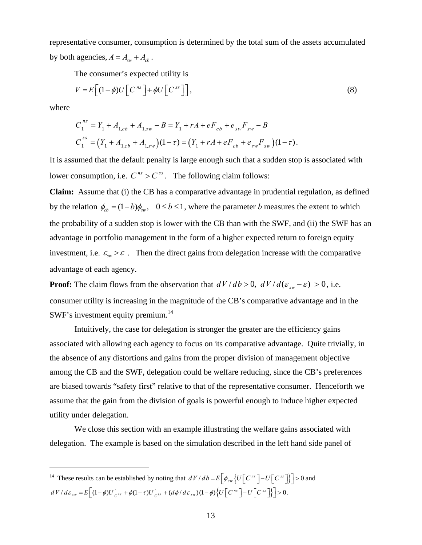representative consumer, consumption is determined by the total sum of the assets accumulated by both agencies,  $A = A_{\rm sw} + A_{\rm ch}$ .

The consumer's expected utility is

$$
V = E\left[ (1 - \phi)U\left[C^{ns}\right] + \phi U\left[C^{ss}\right] \right],\tag{8}
$$

where

 $\overline{a}$ 

$$
C_1^{ns} = Y_1 + A_{1,cb} + A_{1,sw} - B = Y_1 + rA + eF_{cb} + e_{sw}F_{sw} - B
$$
  

$$
C_1^{ss} = (Y_1 + A_{1,cb} + A_{1,sw})(1 - \tau) = (Y_1 + rA + eF_{cb} + e_{sw}F_{sw})(1 - \tau).
$$

It is assumed that the default penalty is large enough such that a sudden stop is associated with lower consumption, i.e.  $C^{ns} > C^{ss}$ . The following claim follows:

**Claim:** Assume that (i) the CB has a comparative advantage in prudential regulation, as defined by the relation  $\phi_{cb} = (1 - b)\phi_{sw}$ ,  $0 \le b \le 1$ , where the parameter *b* measures the extent to which the probability of a sudden stop is lower with the CB than with the SWF, and (ii) the SWF has an advantage in portfolio management in the form of a higher expected return to foreign equity investment, i.e.  $\varepsilon_{\text{sw}} > \varepsilon$ . Then the direct gains from delegation increase with the comparative advantage of each agency.

**Proof:** The claim flows from the observation that  $dV/db > 0$ ,  $dV/d(\varepsilon_{sw} - \varepsilon) > 0$ , i.e. consumer utility is increasing in the magnitude of the CB's comparative advantage and in the SWF's investment equity premium.<sup>14</sup>

Intuitively, the case for delegation is stronger the greater are the efficiency gains associated with allowing each agency to focus on its comparative advantage. Quite trivially, in the absence of any distortions and gains from the proper division of management objective among the CB and the SWF, delegation could be welfare reducing, since the CB's preferences are biased towards "safety first" relative to that of the representative consumer. Henceforth we assume that the gain from the division of goals is powerful enough to induce higher expected utility under delegation.

 We close this section with an example illustrating the welfare gains associated with delegation. The example is based on the simulation described in the left hand side panel of

<sup>&</sup>lt;sup>14</sup> These results can be established by noting that  $dV/db = E \left[ \phi_{sw} \left\{ U \left[ C^{ns} \right] - U \left[ C^{ss} \right] \right\} \right] > 0$  and  $dV/d\varepsilon_{sw} = E\left[(1-\phi)U_{c^{ns}} + \phi(1-\tau)U_{c^{ss}} + (d\phi/d\varepsilon_{sw})(1-\phi)\left\{U\left[C^{ns}\right] - U\left[C^{ss}\right]\right\}\right] > 0.$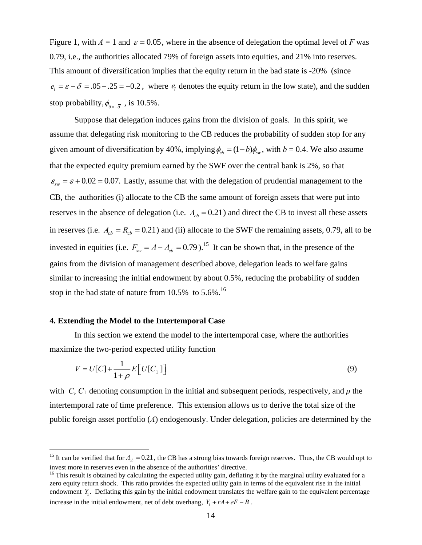Figure 1, with  $A = 1$  and  $\varepsilon = 0.05$ , where in the absence of delegation the optimal level of *F* was 0.79, i.e., the authorities allocated 79% of foreign assets into equities, and 21% into reserves. This amount of diversification implies that the equity return in the bad state is -20% (since  $e_i = \varepsilon - \overline{\delta} = .05 - .25 = -0.2$ , where  $e_i$  denotes the equity return in the low state), and the sudden stop probability,  $\phi_{s-\bar{s}}$ , is 10.5%.

Suppose that delegation induces gains from the division of goals. In this spirit, we assume that delegating risk monitoring to the CB reduces the probability of sudden stop for any given amount of diversification by 40%, implying  $\phi_{cb} = (1 - b)\phi_{sw}$ , with  $b = 0.4$ . We also assume that the expected equity premium earned by the SWF over the central bank is 2%, so that  $\varepsilon_{\rm sw} = \varepsilon + 0.02 = 0.07$ . Lastly, assume that with the delegation of prudential management to the CB, the authorities (i) allocate to the CB the same amount of foreign assets that were put into reserves in the absence of delegation (i.e.  $A_{cb} = 0.21$ ) and direct the CB to invest all these assets in reserves (i.e.  $A_{cb} = R_{cb} = 0.21$ ) and (ii) allocate to the SWF the remaining assets, 0.79, all to be invested in equities (i.e.  $F_{sw} = A - A_{cb} = 0.79$ ).<sup>15</sup> It can be shown that, in the presence of the gains from the division of management described above, delegation leads to welfare gains similar to increasing the initial endowment by about 0.5%, reducing the probability of sudden stop in the bad state of nature from  $10.5\%$  to  $5.6\%$ .<sup>16</sup>

#### **4. Extending the Model to the Intertemporal Case**

 $\overline{a}$ 

In this section we extend the model to the intertemporal case, where the authorities maximize the two-period expected utility function

$$
V = U[C] + \frac{1}{1+\rho} E[U[C_1]]
$$
\n(9)

with *C*,  $C_1$  denoting consumption in the initial and subsequent periods, respectively, and  $\rho$  the intertemporal rate of time preference. This extension allows us to derive the total size of the public foreign asset portfolio (*A*) endogenously. Under delegation, policies are determined by the

<sup>&</sup>lt;sup>15</sup> It can be verified that for  $A_{cb} = 0.21$ , the CB has a strong bias towards foreign reserves. Thus, the CB would opt to invest more in reserves even in the absence of the authorities' directive.<br><sup>16</sup> This result is obtained by calculating the expected utility gain, deflating it by the marginal utility evaluated for a

zero equity return shock. This ratio provides the expected utility gain in terms of the equivalent rise in the initial endowment *Y*<sub>1</sub>. Deflating this gain by the initial endowment translates the welfare gain to the equivalent percentage increase in the initial endowment, net of debt overhang,  $Y_1 + rA + eF - B$ .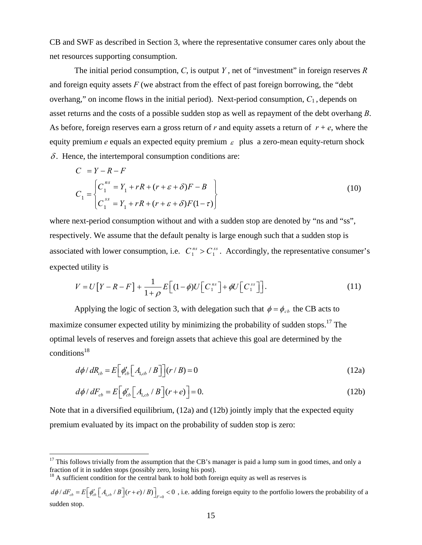CB and SWF as described in Section 3, where the representative consumer cares only about the net resources supporting consumption.

The initial period consumption, *C*, is output *Y* , net of "investment" in foreign reserves *R* and foreign equity assets *F* (we abstract from the effect of past foreign borrowing, the "debt overhang," on income flows in the initial period). Next-period consumption, *C*1 , depends on asset returns and the costs of a possible sudden stop as well as repayment of the debt overhang *B*. As before, foreign reserves earn a gross return of  $r$  and equity assets a return of  $r + e$ , where the equity premium  $e$  equals an expected equity premium  $\epsilon$  plus a zero-mean equity-return shock  $\delta$ . Hence, the intertemporal consumption conditions are:

$$
C = Y - R - F
$$
  
\n
$$
C_1 = \begin{cases} C_1^{ns} = Y_1 + rR + (r + \varepsilon + \delta)F - B \\ C_1^{ss} = Y_1 + rR + (r + \varepsilon + \delta)F(1 - \tau) \end{cases}
$$
\n(10)

where next-period consumption without and with a sudden stop are denoted by "ns and "ss", respectively. We assume that the default penalty is large enough such that a sudden stop is associated with lower consumption, i.e.  $C_1^{ns} > C_1^{ss}$ . Accordingly, the representative consumer's expected utility is

$$
V = U[Y - R - F] + \frac{1}{1 + \rho} E\left[ (1 - \phi)U\left[C_1^{ns}\right] + \phi U\left[C_1^{ss}\right] \right].
$$
\n(11)

Applying the logic of section 3, with delegation such that  $\phi = \phi_{cb}$  the CB acts to maximize consumer expected utility by minimizing the probability of sudden stops.<sup>17</sup> The optimal levels of reserves and foreign assets that achieve this goal are determined by the  $conditions<sup>18</sup>$ 

$$
d\phi / dR_{cb} = E\left[\phi_{cb}' \left[A_{1,cb} / B\right]\right] (r / B) = 0
$$
\n(12a)

$$
d\phi / dF_{cb} = E\left[\phi_{cb}' \left[A_{1,cb} / B\right](r+e)\right] = 0. \tag{12b}
$$

Note that in a diversified equilibrium, (12a) and (12b) jointly imply that the expected equity premium evaluated by its impact on the probability of sudden stop is zero:

 $18$  A sufficient condition for the central bank to hold both foreign equity as well as reserves is

1

<sup>&</sup>lt;sup>17</sup> This follows trivially from the assumption that the CB's manager is paid a lump sum in good times, and only a fraction of it in sudden stops (possibly zero, losing his post).

 $d\phi/dF_{cb} = E \left[ \phi_{cb}^{\prime} \left[ A_{1,cb} / B \right] (r+e)/B \right]_{\epsilon=0} < 0$ , i.e. adding foreign equity to the portfolio lowers the probability of a sudden stop.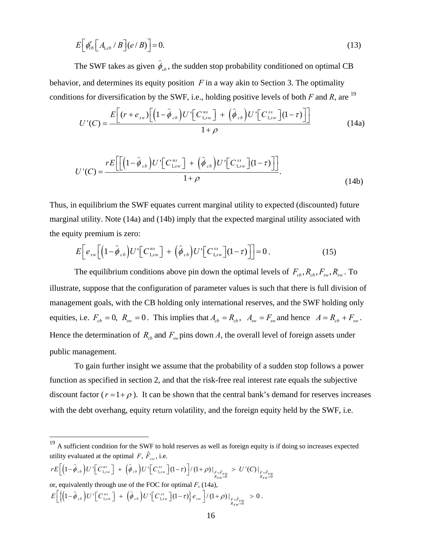$$
E\left[\phi'_{cb}\left[A_{1,cb}/B\right]\left(e/B\right)\right]=0.\tag{13}
$$

The SWF takes as given  $\hat{\phi}_{cb}$ , the sudden stop probability conditioned on optimal CB behavior, and determines its equity position *F* in a way akin to Section 3. The optimality conditions for diversification by the SWF, i.e., holding positive levels of both  $F$  and  $R$ , are <sup>19</sup>

$$
U'(C) = \frac{E\left[(r+e_{sw})\left[\left(1-\hat{\phi}_{cb}\right)U'\left[C_{1,sw}^{ns}\right]+\left(\hat{\phi}_{cb}\right)U'\left[C_{1,sw}^{ss}\right]\left(1-\tau\right)\right]\right]}{1+\rho} \tag{14a}
$$

$$
U'(C) = \frac{rE\left[\left[\left(1-\hat{\phi}_{cb}\right)U'\left[C_{1,sw}^{ns}\right] + \left(\hat{\phi}_{cb}\right)U'\left[C_{1,sw}^{ss}\right](1-\tau)\right]\right]}{1+\rho}.\tag{14b}
$$

Thus, in equilibrium the SWF equates current marginal utility to expected (discounted) future marginal utility. Note (14a) and (14b) imply that the expected marginal utility associated with the equity premium is zero:

$$
E\bigg[e_{sw}\bigg[\bigg(1-\hat{\phi}_{cb}\bigg)U'\bigg[C_{1,sw}^{ns}\bigg] + \bigg(\hat{\phi}_{cb}\bigg)U'\bigg[C_{1,sw}^{ss}\bigg](1-\tau)\bigg]\bigg] = 0\,. \tag{15}
$$

The equilibrium conditions above pin down the optimal levels of  $F_{cb}$ ,  $R_{cb}$ ,  $F_{sw}$ ,  $R_{sw}$ . To illustrate, suppose that the configuration of parameter values is such that there is full division of management goals, with the CB holding only international reserves, and the SWF holding only equities, i.e.  $F_{cb} = 0$ ,  $R_{sw} = 0$ . This implies that  $A_{cb} = R_{cb}$ ,  $A_{sw} = F_{sw}$  and hence  $A = R_{cb} + F_{sw}$ . Hence the determination of  $R_{cb}$  and  $F_{sw}$  pins down *A*, the overall level of foreign assets under public management.

To gain further insight we assume that the probability of a sudden stop follows a power function as specified in section 2, and that the risk-free real interest rate equals the subjective discount factor  $(r=1+\rho)$ . It can be shown that the central bank's demand for reserves increases with the debt overhang, equity return volatility, and the foreign equity held by the SWF, i.e.

 $(1-\phi_{cb})U'$   $C^{ns}_{1, sw}$   $]$  +  $(\phi_{cb})U'$   $C^{ns}_{1, sw}$   $](1-\tau)$   $/(1+\rho)$   $|_{F=\hat{F}_{5w}}$   $>$   $U'(C)|_{F=\hat{F}_{5w}=0}$  $r E\left[ \left(1-\hat{\phi}_{cb}\right)U'\left[C_{1,sw}^{ns}\right] + \left(\hat{\phi}_{cb}\right)U'\left[C_{1,sw}^{ss}\right](1-\tau)\right]/(1+\rho)\Big|_{\substack{F=\hat{F}_{SW} \geq 0 \ R_{SW}=0}} \geq U'(C)\Big|_{\substack{F=\hat{F}_{SW} \geq 0}}$ or, equivalently through use of the FOC for optimal *F*, (14a),  $\left\{ \left(1-\phi_{cb}\right) U' \right\} C_{1,sw}^{ns} \right\} + \left[\phi_{cb}\right) U' \left[ C_{1,sw}^{ss} \right] \left(1-\tau\right) \left\{ e_{sw} \right\} / \left(1+\rho\right) \right\}_{\substack{F=\hat{F}_{SM} \ge 0 \ R_{SW}=0}}$  $E\left[\left\{\left(1-\hat{\phi}_{cb}\right)U'\left[C_{1,sw}^{ns}\right]+\left(\hat{\phi}_{cb}\right)U'\left[C_{1,sw}^{ss}\right](1-\tau)\right\}e_{sw}\right]/(1+\rho)\Big|_{\substack{F=\hat{F}_{SW} \ > \ 0 \\ R_{SW}=0}} > 0.$ 

<u>.</u>

 $19$  A sufficient condition for the SWF to hold reserves as well as foreign equity is if doing so increases expected utility evaluated at the optimal  $F, \hat{F}_{sw}$ , i.e.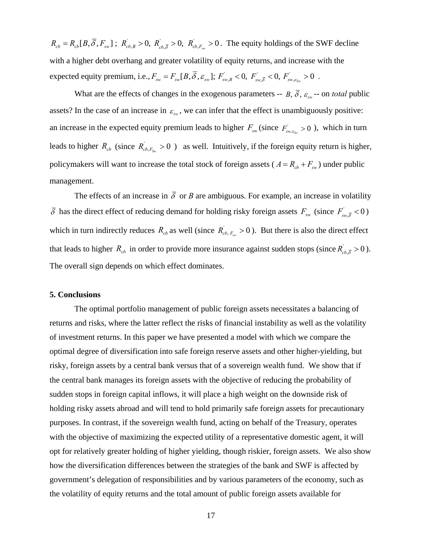$R_{cb} = R_{cb}[B, \overline{\delta}, F_{sw}]$ ;  $R_{cb,B} > 0$ ,  $R_{cb,\overline{\delta}} > 0$ ,  $R_{cb,F_{sw}} > 0$ . The equity holdings of the SWF decline with a higher debt overhang and greater volatility of equity returns, and increase with the  $\text{expected equity premium, i.e., } F_{\text{sw}} = F_{\text{sw}}[B, \overline{\delta}, \varepsilon_{\text{sw}}]; F_{\text{sw}, B}^{\dagger} < 0, F_{\text{sw}, \overline{\delta}}^{\dagger} < 0, F_{\text{sw}, \varepsilon_{\text{sw}}}^{\dagger} > 0.$ 

What are the effects of changes in the exogenous parameters --  $B$ ,  $\overline{\delta}$ ,  $\varepsilon_{\text{w}}$  -- on *total* public assets? In the case of an increase in  $\varepsilon_{\rm sw}$ , we can infer that the effect is unambiguously positive: an increase in the expected equity premium leads to higher  $F_{sw}$  (since  $F_{sw,s_{sw}} > 0$ ), which in turn leads to higher  $R_{cb}$  (since  $R_{cb, F_{sw}} > 0$ ) as well. Intuitively, if the foreign equity return is higher, policymakers will want to increase the total stock of foreign assets ( $A = R_{cb} + F_{sw}$ ) under public management.

The effects of an increase in  $\overline{\delta}$  or *B* are ambiguous. For example, an increase in volatility  $\overline{\delta}$  has the direct effect of reducing demand for holding risky foreign assets  $F_{sw}$  (since  $F_{sw,\bar{\delta}}$  < 0) which in turn indirectly reduces  $R_{cb}$  as well (since  $R_{cb}$ ,  $F_{sw} > 0$ ). But there is also the direct effect that leads to higher  $R_{cb}$  in order to provide more insurance against sudden stops (since  $R_{cb,\bar{\delta}}$  > 0). The overall sign depends on which effect dominates.

## **5. Conclusions**

The optimal portfolio management of public foreign assets necessitates a balancing of returns and risks, where the latter reflect the risks of financial instability as well as the volatility of investment returns. In this paper we have presented a model with which we compare the optimal degree of diversification into safe foreign reserve assets and other higher-yielding, but risky, foreign assets by a central bank versus that of a sovereign wealth fund. We show that if the central bank manages its foreign assets with the objective of reducing the probability of sudden stops in foreign capital inflows, it will place a high weight on the downside risk of holding risky assets abroad and will tend to hold primarily safe foreign assets for precautionary purposes. In contrast, if the sovereign wealth fund, acting on behalf of the Treasury, operates with the objective of maximizing the expected utility of a representative domestic agent, it will opt for relatively greater holding of higher yielding, though riskier, foreign assets. We also show how the diversification differences between the strategies of the bank and SWF is affected by government's delegation of responsibilities and by various parameters of the economy, such as the volatility of equity returns and the total amount of public foreign assets available for

17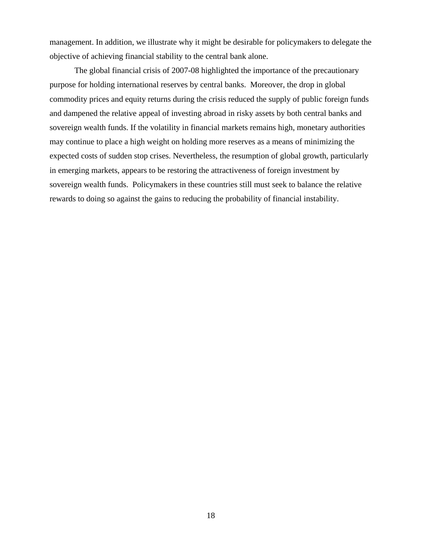management. In addition, we illustrate why it might be desirable for policymakers to delegate the objective of achieving financial stability to the central bank alone.

The global financial crisis of 2007-08 highlighted the importance of the precautionary purpose for holding international reserves by central banks. Moreover, the drop in global commodity prices and equity returns during the crisis reduced the supply of public foreign funds and dampened the relative appeal of investing abroad in risky assets by both central banks and sovereign wealth funds. If the volatility in financial markets remains high, monetary authorities may continue to place a high weight on holding more reserves as a means of minimizing the expected costs of sudden stop crises. Nevertheless, the resumption of global growth, particularly in emerging markets, appears to be restoring the attractiveness of foreign investment by sovereign wealth funds. Policymakers in these countries still must seek to balance the relative rewards to doing so against the gains to reducing the probability of financial instability.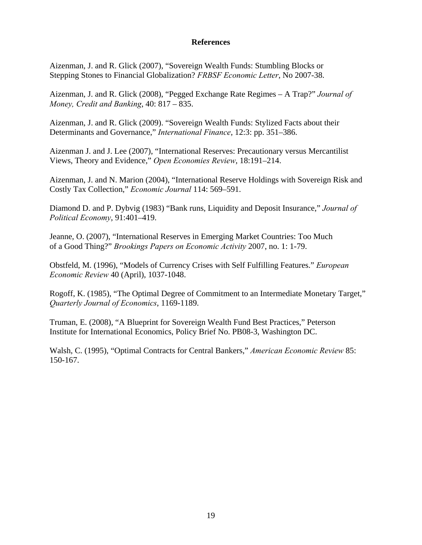## **References**

Aizenman, J. and R. Glick (2007), "Sovereign Wealth Funds: Stumbling Blocks or Stepping Stones to Financial Globalization? *FRBSF Economic Letter*, No 2007-38.

Aizenman, J. and R. Glick (2008), "Pegged Exchange Rate Regimes – A Trap?" *Journal of Money, Credit and Banking*, 40: 817 – 835.

Aizenman, J. and R. Glick (2009). "Sovereign Wealth Funds: Stylized Facts about their Determinants and Governance," *International Finance*, 12:3: pp. 351–386.

Aizenman J. and J. Lee (2007), "International Reserves: Precautionary versus Mercantilist Views, Theory and Evidence," *Open Economies Review*, 18:191–214.

Aizenman, J. and N. Marion (2004), "International Reserve Holdings with Sovereign Risk and Costly Tax Collection," *Economic Journal* 114: 569–591.

Diamond D. and P. Dybvig (1983) "Bank runs, Liquidity and Deposit Insurance," *Journal of Political Economy*, 91:401–419.

Jeanne, O. (2007), "International Reserves in Emerging Market Countries: Too Much of a Good Thing?" *Brookings Papers on Economic Activity* 2007, no. 1: 1-79.

Obstfeld, M. (1996), "Models of Currency Crises with Self Fulfilling Features." *European Economic Review* 40 (April), 1037-1048.

Rogoff, K. (1985), "The Optimal Degree of Commitment to an Intermediate Monetary Target," *Quarterly Journal of Economics*, 1169-1189.

Truman, E. (2008), "A Blueprint for Sovereign Wealth Fund Best Practices," Peterson Institute for International Economics, Policy Brief No. PB08-3, Washington DC.

Walsh, C. (1995), "Optimal Contracts for Central Bankers," *American Economic Review* 85: 150-167.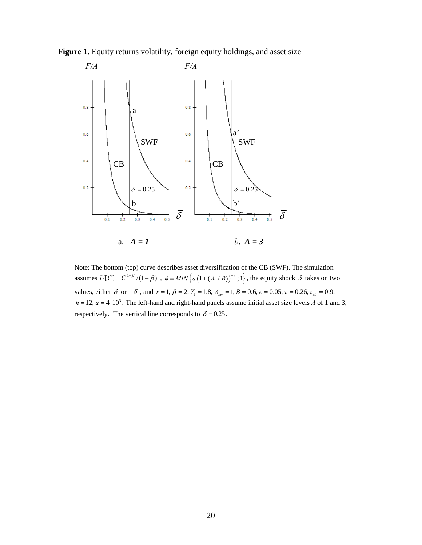



Note: The bottom (top) curve describes asset diversification of the CB (SWF). The simulation assumes  $U[C] = C^{1-\beta}/(1-\beta)$ ,  $\phi = MIN\left\{a\left(1+(A_i/B)\right)^{-h};1\right\}$ , the equity shock  $\delta$  takes on two values, either  $\bar{\delta}$  or  $-\bar{\delta}$ , and  $r = 1$ ,  $\beta = 2$ ,  $Y_1 = 1.8$ ,  $A_{sw} = 1$ ,  $B = 0.6$ ,  $e = 0.05$ ,  $\tau = 0.26$ ,  $\tau_{cb} = 0.9$ ,  $h = 12$ ,  $a = 4 \cdot 10^3$ . The left-hand and right-hand panels assume initial asset size levels *A* of 1 and 3, respectively. The vertical line corresponds to  $\overline{\delta} = 0.25$ .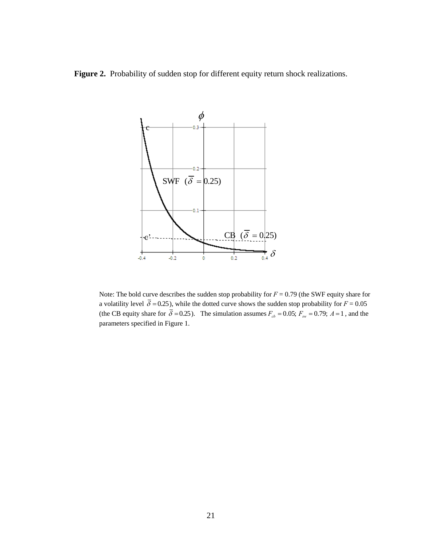Figure 2. Probability of sudden stop for different equity return shock realizations.



Note: The bold curve describes the sudden stop probability for *F* = 0.79 (the SWF equity share for a volatility level  $\overline{\delta} = 0.25$ ), while the dotted curve shows the sudden stop probability for  $F = 0.05$ (the CB equity share for  $\overline{\delta} = 0.25$ ). The simulation assumes  $F_{cb} = 0.05$ ;  $F_{sw} = 0.79$ ;  $A = 1$ , and the parameters specified in Figure 1.